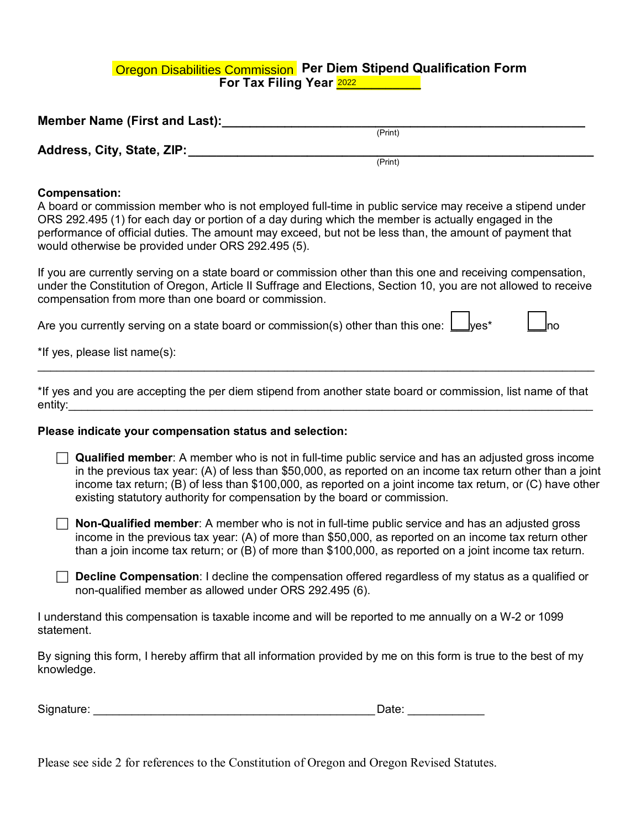# <u>Oregon Disabilities Commission</u> Per Diem Stipend Qualification Form<br>For Tax Filing Year <mark>2022</mark> **For Tax Filing Year 2022 <b>Line 10**

| <b>Member Name (First and Last):</b> |         |  |
|--------------------------------------|---------|--|
|                                      | (Print) |  |
| Address, City, State, ZIP:           |         |  |
|                                      | (Print) |  |

## **Compensation:**

A board or commission member who is not employed full-time in public service may receive a stipend under ORS 292.495 (1) for each day or portion of a day during which the member is actually engaged in the performance of official duties. The amount may exceed, but not be less than, the amount of payment that would otherwise be provided under ORS 292.495 (5).

If you are currently serving on a state board or commission other than this one and receiving compensation, under the Constitution of Oregon, Article II Suffrage and Elections, Section 10, you are not allowed to receive compensation from more than one board or commission.

Е

Е

| Are you currently serving on a state board or commission(s) other than this one: $\bigsqcup$ yes* |  |  | $\Box$ no |  |
|---------------------------------------------------------------------------------------------------|--|--|-----------|--|
|---------------------------------------------------------------------------------------------------|--|--|-----------|--|

\*If yes, please list name(s):

\*If yes and you are accepting the per diem stipend from another state board or commission, list name of that entity:

 $\_$  , and the set of the set of the set of the set of the set of the set of the set of the set of the set of the set of the set of the set of the set of the set of the set of the set of the set of the set of the set of th

### **Please indicate your compensation status and selection:**

| <b>Qualified member</b> : A member who is not in full-time public service and has an adjusted gross income  |
|-------------------------------------------------------------------------------------------------------------|
| in the previous tax year: (A) of less than \$50,000, as reported on an income tax return other than a joint |
| income tax return; (B) of less than \$100,000, as reported on a joint income tax return, or (C) have other  |
| existing statutory authority for compensation by the board or commission.                                   |

 **Non-Qualified member**: A member who is not in full-time public service and has an adjusted gross income in the previous tax year: (A) of more than \$50,000, as reported on an income tax return other than a join income tax return; or (B) of more than \$100,000, as reported on a joint income tax return.

 **Decline Compensation**: I decline the compensation offered regardless of my status as a qualified or non-qualified member as allowed under ORS 292.495 (6).

I understand this compensation is taxable income and will be reported to me annually on a W-2 or 1099 statement.

By signing this form, I hereby affirm that all information provided by me on this form is true to the best of my knowledge.

| Signature: |  |
|------------|--|
|            |  |

Please see side 2 for references to the Constitution of Oregon and Oregon Revised Statutes.